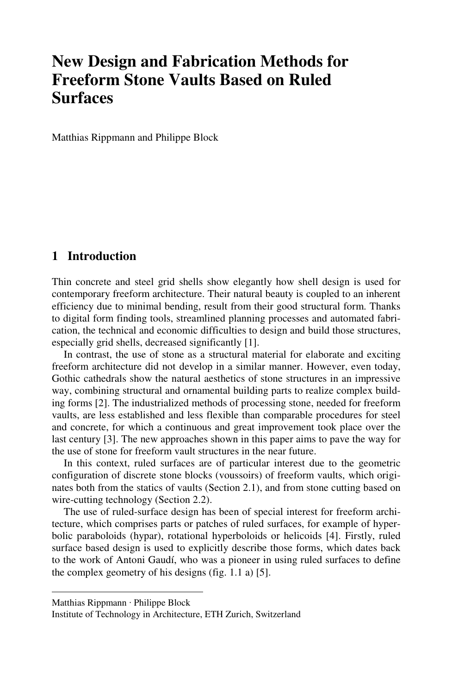# **New Design and Fabrication Methods for Freeform Stone Vaults Based on Ruled Surfaces**

Matthias Rippmann and Philippe Block\*

# **1 Introduction**

Thin concrete and steel grid shells show elegantly how shell design is used for contemporary freeform architecture. Their natural beauty is coupled to an inherent efficiency due to minimal bending, result from their good structural form. Thanks to digital form finding tools, streamlined planning processes and automated fabrication, the technical and economic difficulties to design and build those structures, especially grid shells, decreased significantly [1].

In contrast, the use of stone as a structural material for elaborate and exciting freeform architecture did not develop in a similar manner. However, even today, Gothic cathedrals show the natural aesthetics of stone structures in an impressive way, combining structural and ornamental building parts to realize complex building forms [2]. The industrialized methods of processing stone, needed for freeform vaults, are less established and less flexible than comparable procedures for steel and concrete, for which a continuous and great improvement took place over the last century [3]. The new approaches shown in this paper aims to pave the way for the use of stone for freeform vault structures in the near future.

In this context, ruled surfaces are of particular interest due to the geometric configuration of discrete stone blocks (voussoirs) of freeform vaults, which originates both from the statics of vaults (Section 2.1), and from stone cutting based on wire-cutting technology (Section 2.2).

The use of ruled-surface design has been of special interest for freeform architecture, which comprises parts or patches of ruled surfaces, for example of hyperbolic paraboloids (hypar), rotational hyperboloids or helicoids [4]. Firstly, ruled surface based design is used to explicitly describe those forms, which dates back to the work of Antoni Gaudí, who was a pioneer in using ruled surfaces to define the complex geometry of his designs (fig. 1.1 a) [5].

 $\overline{a}$ 

Matthias Rippmann · Philippe Block

Institute of Technology in Architecture, ETH Zurich, Switzerland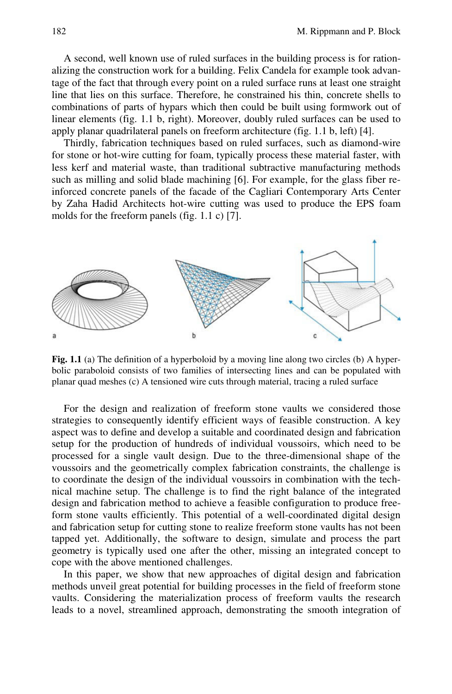A second, well known use of ruled surfaces in the building process is for rationalizing the construction work for a building. Felix Candela for example took advantage of the fact that through every point on a ruled surface runs at least one straight line that lies on this surface. Therefore, he constrained his thin, concrete shells to combinations of parts of hypars which then could be built using formwork out of linear elements (fig. 1.1 b, right). Moreover, doubly ruled surfaces can be used to apply planar quadrilateral panels on freeform architecture (fig. 1.1 b, left) [4].

Thirdly, fabrication techniques based on ruled surfaces, such as diamond-wire for stone or hot-wire cutting for foam, typically process these material faster, with less kerf and material waste, than traditional subtractive manufacturing methods such as milling and solid blade machining [6]. For example, for the glass fiber reinforced concrete panels of the facade of the Cagliari Contemporary Arts Center by Zaha Hadid Architects hot-wire cutting was used to produce the EPS foam molds for the freeform panels (fig. 1.1 c) [7].



**Fig. 1.1** (a) The definition of a hyperboloid by a moving line along two circles (b) A hyperbolic paraboloid consists of two families of intersecting lines and can be populated with planar quad meshes (c) A tensioned wire cuts through material, tracing a ruled surface

For the design and realization of freeform stone vaults we considered those strategies to consequently identify efficient ways of feasible construction. A key aspect was to define and develop a suitable and coordinated design and fabrication setup for the production of hundreds of individual voussoirs, which need to be processed for a single vault design. Due to the three-dimensional shape of the voussoirs and the geometrically complex fabrication constraints, the challenge is to coordinate the design of the individual voussoirs in combination with the technical machine setup. The challenge is to find the right balance of the integrated design and fabrication method to achieve a feasible configuration to produce freeform stone vaults efficiently. This potential of a well-coordinated digital design and fabrication setup for cutting stone to realize freeform stone vaults has not been tapped yet. Additionally, the software to design, simulate and process the part geometry is typically used one after the other, missing an integrated concept to cope with the above mentioned challenges.

In this paper, we show that new approaches of digital design and fabrication methods unveil great potential for building processes in the field of freeform stone vaults. Considering the materialization process of freeform vaults the research leads to a novel, streamlined approach, demonstrating the smooth integration of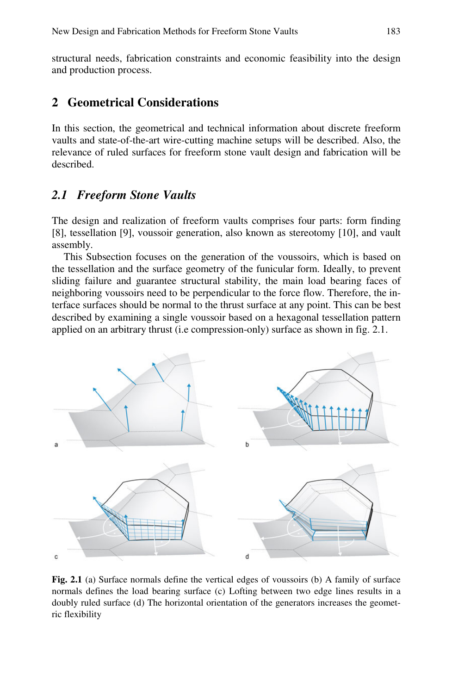structural needs, fabrication constraints and economic feasibility into the design and production process.

# **2 Geometrical Considerations**

In this section, the geometrical and technical information about discrete freeform vaults and state-of-the-art wire-cutting machine setups will be described. Also, the relevance of ruled surfaces for freeform stone vault design and fabrication will be described.

## *2.1 Freeform Stone Vaults*

The design and realization of freeform vaults comprises four parts: form finding [8], tessellation [9], voussoir generation, also known as stereotomy [10], and vault assembly.

This Subsection focuses on the generation of the voussoirs, which is based on the tessellation and the surface geometry of the funicular form. Ideally, to prevent sliding failure and guarantee structural stability, the main load bearing faces of neighboring voussoirs need to be perpendicular to the force flow. Therefore, the interface surfaces should be normal to the thrust surface at any point. This can be best described by examining a single voussoir based on a hexagonal tessellation pattern applied on an arbitrary thrust (i.e compression-only) surface as shown in fig. 2.1.



**Fig. 2.1** (a) Surface normals define the vertical edges of voussoirs (b) A family of surface normals defines the load bearing surface (c) Lofting between two edge lines results in a doubly ruled surface (d) The horizontal orientation of the generators increases the geometric flexibility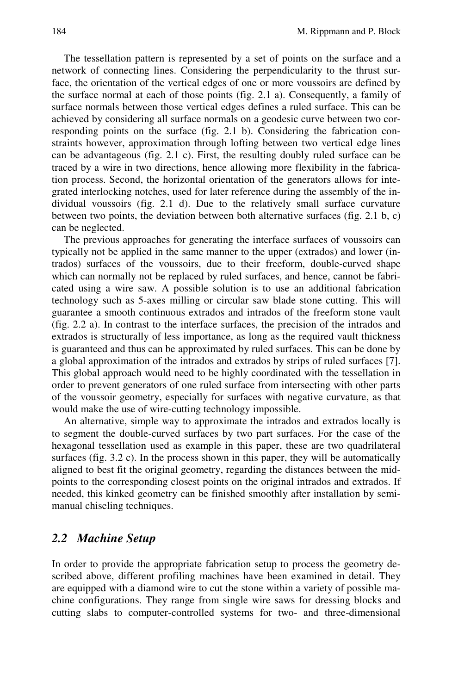The tessellation pattern is represented by a set of points on the surface and a network of connecting lines. Considering the perpendicularity to the thrust surface, the orientation of the vertical edges of one or more voussoirs are defined by the surface normal at each of those points (fig. 2.1 a). Consequently, a family of surface normals between those vertical edges defines a ruled surface. This can be achieved by considering all surface normals on a geodesic curve between two corresponding points on the surface (fig. 2.1 b). Considering the fabrication constraints however, approximation through lofting between two vertical edge lines can be advantageous (fig. 2.1 c). First, the resulting doubly ruled surface can be traced by a wire in two directions, hence allowing more flexibility in the fabrication process. Second, the horizontal orientation of the generators allows for integrated interlocking notches, used for later reference during the assembly of the individual voussoirs (fig. 2.1 d). Due to the relatively small surface curvature between two points, the deviation between both alternative surfaces (fig. 2.1 b, c) can be neglected.

The previous approaches for generating the interface surfaces of voussoirs can typically not be applied in the same manner to the upper (extrados) and lower (intrados) surfaces of the voussoirs, due to their freeform, double-curved shape which can normally not be replaced by ruled surfaces, and hence, cannot be fabricated using a wire saw. A possible solution is to use an additional fabrication technology such as 5-axes milling or circular saw blade stone cutting. This will guarantee a smooth continuous extrados and intrados of the freeform stone vault (fig. 2.2 a). In contrast to the interface surfaces, the precision of the intrados and extrados is structurally of less importance, as long as the required vault thickness is guaranteed and thus can be approximated by ruled surfaces. This can be done by a global approximation of the intrados and extrados by strips of ruled surfaces [7]. This global approach would need to be highly coordinated with the tessellation in order to prevent generators of one ruled surface from intersecting with other parts of the voussoir geometry, especially for surfaces with negative curvature, as that would make the use of wire-cutting technology impossible.

An alternative, simple way to approximate the intrados and extrados locally is to segment the double-curved surfaces by two part surfaces. For the case of the hexagonal tessellation used as example in this paper, these are two quadrilateral surfaces (fig.  $3.2$  c). In the process shown in this paper, they will be automatically aligned to best fit the original geometry, regarding the distances between the midpoints to the corresponding closest points on the original intrados and extrados. If needed, this kinked geometry can be finished smoothly after installation by semimanual chiseling techniques.

#### *2.2 Machine Setup*

In order to provide the appropriate fabrication setup to process the geometry described above, different profiling machines have been examined in detail. They are equipped with a diamond wire to cut the stone within a variety of possible machine configurations. They range from single wire saws for dressing blocks and cutting slabs to computer-controlled systems for two- and three-dimensional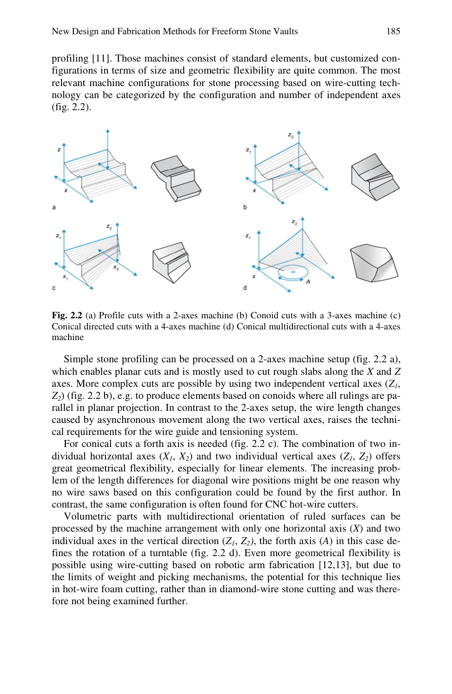profiling [11]. Those machines consist of standard elements, but customized configurations in terms of size and geometric flexibility are quite common. The most relevant machine configurations for stone processing based on wire-cutting technology can be categorized by the configuration and number of independent axes (fig. 2.2).



**Fig. 2.2** (a) Profile cuts with a 2-axes machine (b) Conoid cuts with a 3-axes machine (c) Conical directed cuts with a 4-axes machine (d) Conical multidirectional cuts with a 4-axes machine

Simple stone profiling can be processed on a 2-axes machine setup (fig. 2.2 a), which enables planar cuts and is mostly used to cut rough slabs along the *X* and *Z* axes. More complex cuts are possible by using two independent vertical axes  $(Z<sub>1</sub>,$ *Z2*) (fig. 2.2 b), e.g. to produce elements based on conoids where all rulings are parallel in planar projection. In contrast to the 2-axes setup, the wire length changes caused by asynchronous movement along the two vertical axes, raises the technical requirements for the wire guide and tensioning system.

For conical cuts a forth axis is needed (fig. 2.2 c). The combination of two individual horizontal axes  $(X_1, X_2)$  and two individual vertical axes  $(Z_1, Z_2)$  offers great geometrical flexibility, especially for linear elements. The increasing problem of the length differences for diagonal wire positions might be one reason why no wire saws based on this configuration could be found by the first author. In contrast, the same configuration is often found for CNC hot-wire cutters.

Volumetric parts with multidirectional orientation of ruled surfaces can be processed by the machine arrangement with only one horizontal axis (*X*) and two individual axes in the vertical direction  $(Z_1, Z_2)$ , the forth axis  $(A)$  in this case defines the rotation of a turntable (fig. 2.2 d). Even more geometrical flexibility is possible using wire-cutting based on robotic arm fabrication [12,13], but due to the limits of weight and picking mechanisms, the potential for this technique lies in hot-wire foam cutting, rather than in diamond-wire stone cutting and was therefore not being examined further.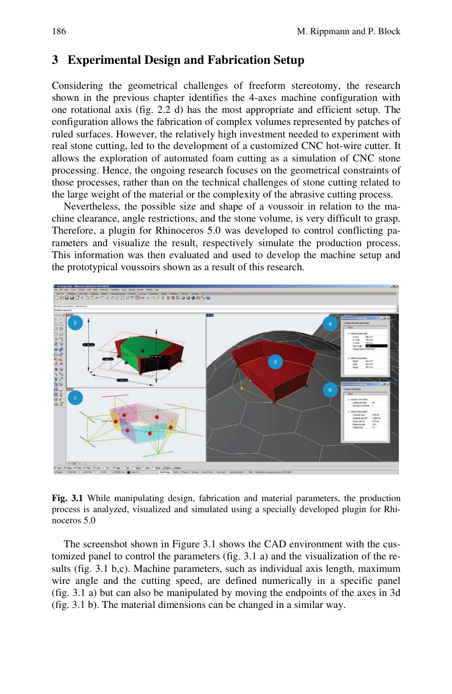## **3 Experimental Design and Fabrication Setup**

Considering the geometrical challenges of freeform stereotomy, the research shown in the previous chapter identifies the 4-axes machine configuration with one rotational axis (fig. 2.2 d) has the most appropriate and efficient setup. The configuration allows the fabrication of complex volumes represented by patches of ruled surfaces. However, the relatively high investment needed to experiment with real stone cutting, led to the development of a customized CNC hot-wire cutter. It allows the exploration of automated foam cutting as a simulation of CNC stone processing. Hence, the ongoing research focuses on the geometrical constraints of those processes, rather than on the technical challenges of stone cutting related to the large weight of the material or the complexity of the abrasive cutting process.

Nevertheless, the possible size and shape of a voussoir in relation to the machine clearance, angle restrictions, and the stone volume, is very difficult to grasp. Therefore, a plugin for Rhinoceros 5.0 was developed to control conflicting parameters and visualize the result, respectively simulate the production process. This information was then evaluated and used to develop the machine setup and the prototypical voussoirs shown as a result of this research.



**Fig. 3.1** While manipulating design, fabrication and material parameters, the production process is analyzed, visualized and simulated using a specially developed plugin for Rhinoceros 5.0

The screenshot shown in Figure 3.1 shows the CAD environment with the customized panel to control the parameters (fig. 3.1 a) and the visualization of the results (fig. 3.1 b,c). Machine parameters, such as individual axis length, maximum wire angle and the cutting speed, are defined numerically in a specific panel (fig. 3.1 a) but can also be manipulated by moving the endpoints of the axes in 3d (fig. 3.1 b). The material dimensions can be changed in a similar way.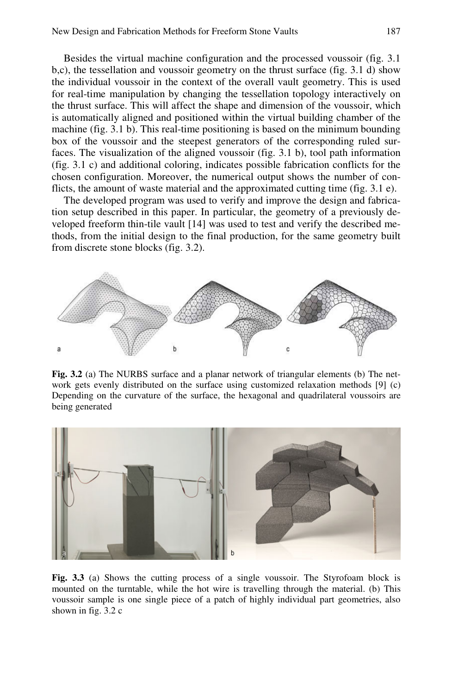Besides the virtual machine configuration and the processed voussoir (fig. 3.1 b,c), the tessellation and voussoir geometry on the thrust surface (fig. 3.1 d) show the individual voussoir in the context of the overall vault geometry. This is used for real-time manipulation by changing the tessellation topology interactively on the thrust surface. This will affect the shape and dimension of the voussoir, which is automatically aligned and positioned within the virtual building chamber of the machine (fig. 3.1 b). This real-time positioning is based on the minimum bounding box of the voussoir and the steepest generators of the corresponding ruled surfaces. The visualization of the aligned voussoir (fig. 3.1 b), tool path information (fig. 3.1 c) and additional coloring, indicates possible fabrication conflicts for the chosen configuration. Moreover, the numerical output shows the number of conflicts, the amount of waste material and the approximated cutting time (fig. 3.1 e).

The developed program was used to verify and improve the design and fabrication setup described in this paper. In particular, the geometry of a previously developed freeform thin-tile vault [14] was used to test and verify the described methods, from the initial design to the final production, for the same geometry built from discrete stone blocks (fig. 3.2).



**Fig. 3.2** (a) The NURBS surface and a planar network of triangular elements (b) The network gets evenly distributed on the surface using customized relaxation methods [9] (c) Depending on the curvature of the surface, the hexagonal and quadrilateral voussoirs are being generated



**Fig. 3.3** (a) Shows the cutting process of a single voussoir. The Styrofoam block is mounted on the turntable, while the hot wire is travelling through the material. (b) This voussoir sample is one single piece of a patch of highly individual part geometries, also shown in fig. 3.2 c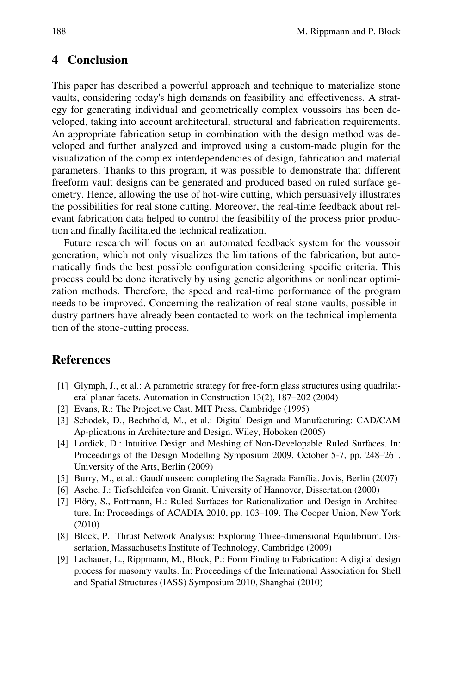## **4 Conclusion**

This paper has described a powerful approach and technique to materialize stone vaults, considering today's high demands on feasibility and effectiveness. A strategy for generating individual and geometrically complex voussoirs has been developed, taking into account architectural, structural and fabrication requirements. An appropriate fabrication setup in combination with the design method was developed and further analyzed and improved using a custom-made plugin for the visualization of the complex interdependencies of design, fabrication and material parameters. Thanks to this program, it was possible to demonstrate that different freeform vault designs can be generated and produced based on ruled surface geometry. Hence, allowing the use of hot-wire cutting, which persuasively illustrates the possibilities for real stone cutting. Moreover, the real-time feedback about relevant fabrication data helped to control the feasibility of the process prior production and finally facilitated the technical realization.

Future research will focus on an automated feedback system for the voussoir generation, which not only visualizes the limitations of the fabrication, but automatically finds the best possible configuration considering specific criteria. This process could be done iteratively by using genetic algorithms or nonlinear optimization methods. Therefore, the speed and real-time performance of the program needs to be improved. Concerning the realization of real stone vaults, possible industry partners have already been contacted to work on the technical implementation of the stone-cutting process.

## **References**

- [1] Glymph, J., et al.: A parametric strategy for free-form glass structures using quadrilateral planar facets. Automation in Construction 13(2), 187–202 (2004)
- [2] Evans, R.: The Projective Cast. MIT Press, Cambridge (1995)
- [3] Schodek, D., Bechthold, M., et al.: Digital Design and Manufacturing: CAD/CAM Ap-plications in Architecture and Design. Wiley, Hoboken (2005)
- [4] Lordick, D.: Intuitive Design and Meshing of Non-Developable Ruled Surfaces. In: Proceedings of the Design Modelling Symposium 2009, October 5-7, pp. 248–261. University of the Arts, Berlin (2009)
- [5] Burry, M., et al.: Gaudí unseen: completing the Sagrada Família. Jovis, Berlin (2007)
- [6] Asche, J.: Tiefschleifen von Granit. University of Hannover, Dissertation (2000)
- [7] Flöry, S., Pottmann, H.: Ruled Surfaces for Rationalization and Design in Architecture. In: Proceedings of ACADIA 2010, pp. 103–109. The Cooper Union, New York (2010)
- [8] Block, P.: Thrust Network Analysis: Exploring Three-dimensional Equilibrium. Dissertation, Massachusetts Institute of Technology, Cambridge (2009)
- [9] Lachauer, L., Rippmann, M., Block, P.: Form Finding to Fabrication: A digital design process for masonry vaults. In: Proceedings of the International Association for Shell and Spatial Structures (IASS) Symposium 2010, Shanghai (2010)